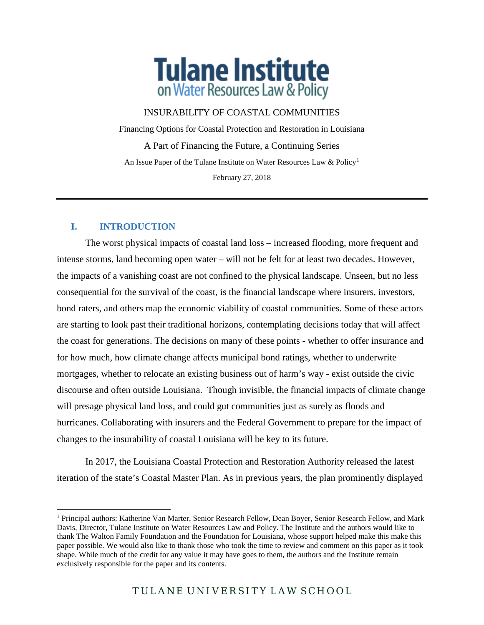

# INSURABILITY OF COASTAL COMMUNITIES

Financing Options for Coastal Protection and Restoration in Louisiana A Part of Financing the Future, a Continuing Series An Issue Paper of the Tulane Institute on Water Resources Law & Policy<sup>[1](#page-0-0)</sup> February 27, 2018

# **I. INTRODUCTION**

 $\overline{a}$ 

The worst physical impacts of coastal land loss – increased flooding, more frequent and intense storms, land becoming open water – will not be felt for at least two decades. However, the impacts of a vanishing coast are not confined to the physical landscape. Unseen, but no less consequential for the survival of the coast, is the financial landscape where insurers, investors, bond raters, and others map the economic viability of coastal communities. Some of these actors are starting to look past their traditional horizons, contemplating decisions today that will affect the coast for generations. The decisions on many of these points - whether to offer insurance and for how much, how climate change affects municipal bond ratings, whether to underwrite mortgages, whether to relocate an existing business out of harm's way - exist outside the civic discourse and often outside Louisiana. Though invisible, the financial impacts of climate change will presage physical land loss, and could gut communities just as surely as floods and hurricanes. Collaborating with insurers and the Federal Government to prepare for the impact of changes to the insurability of coastal Louisiana will be key to its future.

In 2017, the Louisiana Coastal Protection and Restoration Authority released the latest iteration of the state's Coastal Master Plan. As in previous years, the plan prominently displayed

<span id="page-0-0"></span><sup>1</sup> Principal authors: Katherine Van Marter, Senior Research Fellow, Dean Boyer, Senior Research Fellow, and Mark Davis, Director, Tulane Institute on Water Resources Law and Policy. The Institute and the authors would like to thank The Walton Family Foundation and the Foundation for Louisiana, whose support helped make this make this paper possible. We would also like to thank those who took the time to review and comment on this paper as it took shape. While much of the credit for any value it may have goes to them, the authors and the Institute remain exclusively responsible for the paper and its contents.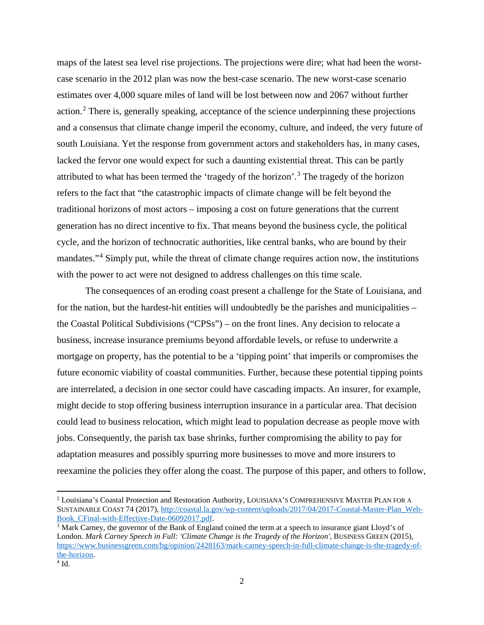maps of the latest sea level rise projections. The projections were dire; what had been the worstcase scenario in the 2012 plan was now the best-case scenario. The new worst-case scenario estimates over 4,000 square miles of land will be lost between now and 2067 without further action.<sup>[2](#page-1-0)</sup> There is, generally speaking, acceptance of the science underpinning these projections and a consensus that climate change imperil the economy, culture, and indeed, the very future of south Louisiana. Yet the response from government actors and stakeholders has, in many cases, lacked the fervor one would expect for such a daunting existential threat. This can be partly attributed to what has been termed the 'tragedy of the horizon'.[3](#page-1-1) The tragedy of the horizon refers to the fact that "the catastrophic impacts of climate change will be felt beyond the traditional horizons of most actors – imposing a cost on future generations that the current generation has no direct incentive to fix. That means beyond the business cycle, the political cycle, and the horizon of technocratic authorities, like central banks, who are bound by their mandates."[4](#page-1-2) Simply put, while the threat of climate change requires action now, the institutions with the power to act were not designed to address challenges on this time scale.

The consequences of an eroding coast present a challenge for the State of Louisiana, and for the nation, but the hardest-hit entities will undoubtedly be the parishes and municipalities – the Coastal Political Subdivisions ("CPSs") – on the front lines. Any decision to relocate a business, increase insurance premiums beyond affordable levels, or refuse to underwrite a mortgage on property, has the potential to be a 'tipping point' that imperils or compromises the future economic viability of coastal communities. Further, because these potential tipping points are interrelated, a decision in one sector could have cascading impacts. An insurer, for example, might decide to stop offering business interruption insurance in a particular area. That decision could lead to business relocation, which might lead to population decrease as people move with jobs. Consequently, the parish tax base shrinks, further compromising the ability to pay for adaptation measures and possibly spurring more businesses to move and more insurers to reexamine the policies they offer along the coast. The purpose of this paper, and others to follow,

<span id="page-1-0"></span><sup>2</sup> Louisiana's Coastal Protection and Restoration Authority, LOUISIANA'S COMPREHENSIVE MASTER PLAN FOR A SUSTAINABLE COAST 74 (2017), http://coastal.la.gov/wp-content/uploads/2017/04/2017-Coastal-Master-Plan\_Web-Book\_CFinal-with-Effective-Date-06092017.pdf.

<span id="page-1-1"></span><sup>&</sup>lt;sup>3</sup> Mark Carney, the governor of the Bank of England coined the term at a speech to insurance giant Lloyd's of London. *Mark Carney Speech in Full: 'Climate Change is the Tragedy of the Horizon'*, BUSINESS GREEN (2015), [https://www.businessgreen.com/bg/opinion/2428163/mark-carney-speech-in-full-climate-change-is-the-tragedy-of-](https://www.businessgreen.com/bg/opinion/2428163/mark-carney-speech-in-full-climate-change-is-the-tragedy-of-the-horizon) $\frac{\text{the-horizon}}{4 \text{ Id.}}$ 

<span id="page-1-2"></span>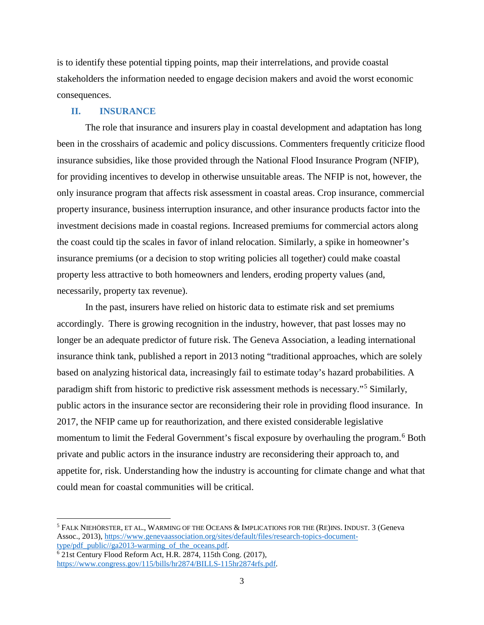is to identify these potential tipping points, map their interrelations, and provide coastal stakeholders the information needed to engage decision makers and avoid the worst economic consequences.

### **II. INSURANCE**

The role that insurance and insurers play in coastal development and adaptation has long been in the crosshairs of academic and policy discussions. Commenters frequently criticize flood insurance subsidies, like those provided through the National Flood Insurance Program (NFIP), for providing incentives to develop in otherwise unsuitable areas. The NFIP is not, however, the only insurance program that affects risk assessment in coastal areas. Crop insurance, commercial property insurance, business interruption insurance, and other insurance products factor into the investment decisions made in coastal regions. Increased premiums for commercial actors along the coast could tip the scales in favor of inland relocation. Similarly, a spike in homeowner's insurance premiums (or a decision to stop writing policies all together) could make coastal property less attractive to both homeowners and lenders, eroding property values (and, necessarily, property tax revenue).

In the past, insurers have relied on historic data to estimate risk and set premiums accordingly. There is growing recognition in the industry, however, that past losses may no longer be an adequate predictor of future risk. The Geneva Association, a leading international insurance think tank, published a report in 2013 noting "traditional approaches, which are solely based on analyzing historical data, increasingly fail to estimate today's hazard probabilities. A paradigm shift from historic to predictive risk assessment methods is necessary."[5](#page-2-0) Similarly, public actors in the insurance sector are reconsidering their role in providing flood insurance. In 2017, the NFIP came up for reauthorization, and there existed considerable legislative momentum to limit the Federal Government's fiscal exposure by overhauling the program.<sup>[6](#page-2-1)</sup> Both private and public actors in the insurance industry are reconsidering their approach to, and appetite for, risk. Understanding how the industry is accounting for climate change and what that could mean for coastal communities will be critical.

 $\overline{\phantom{a}}$ 

<span id="page-2-0"></span><sup>5</sup> FALK NIEHÖRSTER, ET AL., WARMING OF THE OCEANS & IMPLICATIONS FOR THE (RE)INS. INDUST. 3 (Geneva Assoc., 2013), [https://www.genevaassociation.org/sites/default/files/research-topics-document](https://www.genevaassociation.org/sites/default/files/research-topics-document-type/pdf_public/ga2013-warming_of_the_oceans.pdf)[type/pdf\\_public//ga2013-warming\\_of\\_the\\_oceans.pdf.](https://www.genevaassociation.org/sites/default/files/research-topics-document-type/pdf_public/ga2013-warming_of_the_oceans.pdf)

<span id="page-2-1"></span><sup>6</sup> 21st Century Flood Reform Act, H.R. 2874, 115th Cong. (2017), [https://www.congress.gov/115/bills/hr2874/BILLS-115hr2874rfs.pdf.](https://www.congress.gov/115/bills/hr2874/BILLS-115hr2874rfs.pdf)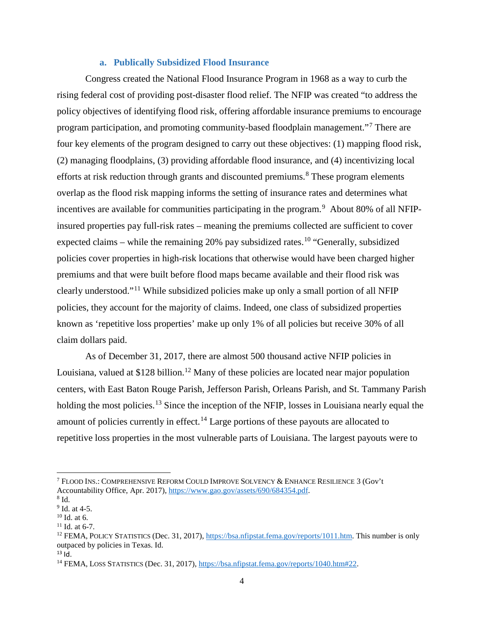#### **a. Publically Subsidized Flood Insurance**

Congress created the National Flood Insurance Program in 1968 as a way to curb the rising federal cost of providing post-disaster flood relief. The NFIP was created "to address the policy objectives of identifying flood risk, offering affordable insurance premiums to encourage program participation, and promoting community-based floodplain management."[7](#page-3-0) There are four key elements of the program designed to carry out these objectives: (1) mapping flood risk, (2) managing floodplains, (3) providing affordable flood insurance, and (4) incentivizing local efforts at risk reduction through grants and discounted premiums.<sup>[8](#page-3-1)</sup> These program elements overlap as the flood risk mapping informs the setting of insurance rates and determines what incentives are available for communities participating in the program.<sup>[9](#page-3-2)</sup> About 80% of all NFIPinsured properties pay full-risk rates – meaning the premiums collected are sufficient to cover expected claims – while the remaining 20% pay subsidized rates.<sup>[10](#page-3-3)</sup> "Generally, subsidized policies cover properties in high-risk locations that otherwise would have been charged higher premiums and that were built before flood maps became available and their flood risk was clearly understood."[11](#page-3-4) While subsidized policies make up only a small portion of all NFIP policies, they account for the majority of claims. Indeed, one class of subsidized properties known as 'repetitive loss properties' make up only 1% of all policies but receive 30% of all claim dollars paid.

As of December 31, 2017, there are almost 500 thousand active NFIP policies in Louisiana, valued at \$[12](#page-3-5)8 billion.<sup>12</sup> Many of these policies are located near major population centers, with East Baton Rouge Parish, Jefferson Parish, Orleans Parish, and St. Tammany Parish holding the most policies.<sup>[13](#page-3-6)</sup> Since the inception of the NFIP, losses in Louisiana nearly equal the amount of policies currently in effect.<sup>[14](#page-3-7)</sup> Large portions of these payouts are allocated to repetitive loss properties in the most vulnerable parts of Louisiana. The largest payouts were to

<span id="page-3-0"></span> $^7$  FLOOD INS.: COMPREHENSIVE REFORM COULD IMPROVE SOLVENCY & ENHANCE RESILIENCE 3 (Gov't Accountability Office, Apr. 2017)[, https://www.gao.gov/assets/690/684354.pdf.](https://www.gao.gov/assets/690/684354.pdf)<br><sup>8</sup> Id. at 4-5.

<span id="page-3-1"></span>

<span id="page-3-2"></span>

<span id="page-3-5"></span>

<span id="page-3-4"></span><span id="page-3-3"></span><sup>&</sup>lt;sup>10</sup> Id. at 6.<br><sup>11</sup> Id. at 6-7.<br><sup>12</sup> FEMA, POLICY STATISTICS (Dec. 31, 2017)[, https://bsa.nfipstat.fema.gov/reports/1011.htm.](https://bsa.nfipstat.fema.gov/reports/1011.htm) This number is only outpaced by policies in Texas. Id.

<span id="page-3-6"></span> $13$  Id.

<span id="page-3-7"></span><sup>14</sup> FEMA, LOSS STATISTICS (Dec. 31, 2017), [https://bsa.nfipstat.fema.gov/reports/1040.htm#22.](https://bsa.nfipstat.fema.gov/reports/1040.htm#22)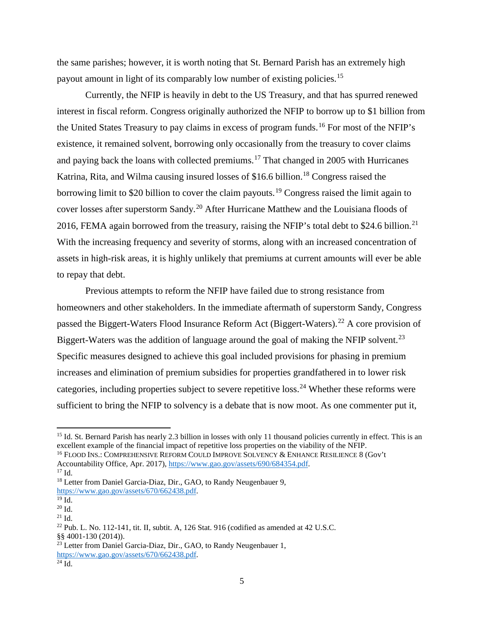the same parishes; however, it is worth noting that St. Bernard Parish has an extremely high payout amount in light of its comparably low number of existing policies.[15](#page-4-0)

Currently, the NFIP is heavily in debt to the US Treasury, and that has spurred renewed interest in fiscal reform. Congress originally authorized the NFIP to borrow up to \$1 billion from the United States Treasury to pay claims in excess of program funds.<sup>[16](#page-4-1)</sup> For most of the NFIP's existence, it remained solvent, borrowing only occasionally from the treasury to cover claims and paying back the loans with collected premiums.[17](#page-4-2) That changed in 2005 with Hurricanes Katrina, Rita, and Wilma causing insured losses of \$16.6 billion.<sup>[18](#page-4-3)</sup> Congress raised the borrowing limit to \$20 billion to cover the claim payouts.<sup>[19](#page-4-4)</sup> Congress raised the limit again to cover losses after superstorm Sandy.[20](#page-4-5) After Hurricane Matthew and the Louisiana floods of 2016, FEMA again borrowed from the treasury, raising the NFIP's total debt to \$24.6 billion.<sup>[21](#page-4-6)</sup> With the increasing frequency and severity of storms, along with an increased concentration of assets in high-risk areas, it is highly unlikely that premiums at current amounts will ever be able to repay that debt.

Previous attempts to reform the NFIP have failed due to strong resistance from homeowners and other stakeholders. In the immediate aftermath of superstorm Sandy, Congress passed the Biggert-Waters Flood Insurance Reform Act (Biggert-Waters).<sup>[22](#page-4-7)</sup> A core provision of Biggert-Waters was the addition of language around the goal of making the NFIP solvent.<sup>[23](#page-4-8)</sup> Specific measures designed to achieve this goal included provisions for phasing in premium increases and elimination of premium subsidies for properties grandfathered in to lower risk categories, including properties subject to severe repetitive loss.[24](#page-4-9) Whether these reforms were sufficient to bring the NFIP to solvency is a debate that is now moot. As one commenter put it,

<span id="page-4-0"></span><sup>&</sup>lt;sup>15</sup> Id. St. Bernard Parish has nearly 2.3 billion in losses with only 11 thousand policies currently in effect. This is an excellent example of the financial impact of repetitive loss properties on the viability of the NFIP.

<span id="page-4-1"></span><sup>&</sup>lt;sup>16</sup> FLOOD INS.: COMPREHENSIVE REFORM COULD IMPROVE SOLVENCY & ENHANCE RESILIENCE 8 (Gov't Accountability Office, Apr. 2017)[, https://www.gao.gov/assets/690/684354.pdf.](https://www.gao.gov/assets/690/684354.pdf)<br><sup>17</sup> Id.

<span id="page-4-2"></span>

<span id="page-4-3"></span><sup>&</sup>lt;sup>18</sup> Letter from Daniel Garcia-Diaz, Dir., GAO, to Randy Neugenbauer 9, https://www.gao.gov/assets/670/662438.pdf.

<span id="page-4-5"></span>

<span id="page-4-7"></span><span id="page-4-6"></span>

<span id="page-4-4"></span> $\frac{^{20}$  Id.  $\frac{^{20}$  Id.  $\frac{^{21}$  Id.  $\frac{^{21}$  Id.  $\frac{^{22}$  Pub. L. No. 112-141, tit. II, subtit. A, 126 Stat. 916 (codified as amended at 42 U.S.C. §§ 4001-130 (2014)).

<span id="page-4-9"></span><span id="page-4-8"></span> $^{23}$  Letter from Daniel Garcia-Diaz, Dir., GAO, to Randy Neugenbauer 1, https://www.gao.gov/assets/670/662438.pdf.<br><sup>24</sup> Id.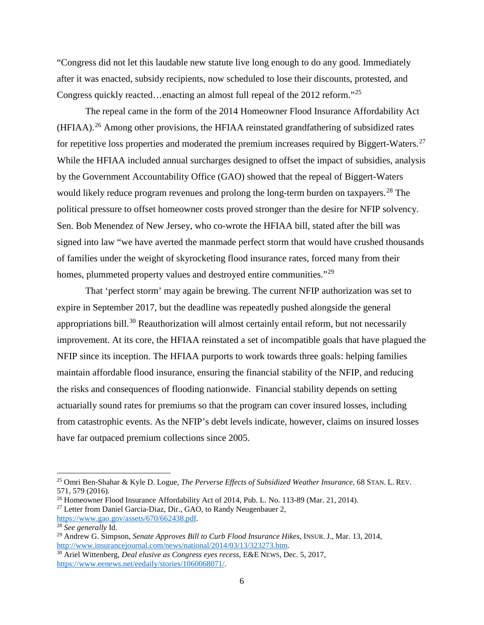"Congress did not let this laudable new statute live long enough to do any good. Immediately after it was enacted, subsidy recipients, now scheduled to lose their discounts, protested, and Congress quickly reacted…enacting an almost full repeal of the 2012 reform."<sup>[25](#page-5-0)</sup>

The repeal came in the form of the 2014 Homeowner Flood Insurance Affordability Act (HFIAA).[26](#page-5-1) Among other provisions, the HFIAA reinstated grandfathering of subsidized rates for repetitive loss properties and moderated the premium increases required by Biggert-Waters.<sup>[27](#page-5-2)</sup> While the HFIAA included annual surcharges designed to offset the impact of subsidies, analysis by the Government Accountability Office (GAO) showed that the repeal of Biggert-Waters would likely reduce program revenues and prolong the long-term burden on taxpayers.<sup>[28](#page-5-3)</sup> The political pressure to offset homeowner costs proved stronger than the desire for NFIP solvency. Sen. Bob Menendez of New Jersey, who co-wrote the HFIAA bill, stated after the bill was signed into law "we have averted the manmade perfect storm that would have crushed thousands of families under the weight of skyrocketing flood insurance rates, forced many from their homes, plummeted property values and destroyed entire communities."<sup>[29](#page-5-4)</sup>

That 'perfect storm' may again be brewing. The current NFIP authorization was set to expire in September 2017, but the deadline was repeatedly pushed alongside the general appropriations bill.<sup>[30](#page-5-5)</sup> Reauthorization will almost certainly entail reform, but not necessarily improvement. At its core, the HFIAA reinstated a set of incompatible goals that have plagued the NFIP since its inception. The HFIAA purports to work towards three goals: helping families maintain affordable flood insurance, ensuring the financial stability of the NFIP, and reducing the risks and consequences of flooding nationwide. Financial stability depends on setting actuarially sound rates for premiums so that the program can cover insured losses, including from catastrophic events. As the NFIP's debt levels indicate, however, claims on insured losses have far outpaced premium collections since 2005.

<span id="page-5-0"></span><sup>25</sup> Omri Ben-Shahar & Kyle D. Logue, *The Perverse Effects of Subsidized Weather Insurance*, 68 STAN. L. REV. 571, 579 (2016).

<span id="page-5-1"></span><sup>26</sup> Homeowner Flood Insurance Affordability Act of 2014, Pub. L. No. 113-89 (Mar. 21, 2014).

<span id="page-5-2"></span> $^{27}$  Letter from Daniel Garcia-Diaz, Dir., GAO, to Randy Neugenbauer 2,

[https://www.gao.gov/assets/670/662438.pdf.](https://www.gao.gov/assets/670/662438.pdf)

<span id="page-5-3"></span><sup>28</sup> *See generally* Id.

<span id="page-5-4"></span><sup>&</sup>lt;sup>29</sup> Andrew G. Simpson, *Senate Approves Bill to Curb Flood Insurance Hikes*, INSUR. J., Mar. 13, 2014, http://www.insurancejournal.com/news/national/2014/03/13/323273.htm.

<span id="page-5-5"></span><sup>&</sup>lt;sup>30</sup> Ariel Wittenberg, *Deal elusive as Congress eyes recess*, E&E NEWS, Dec. 5, 2017, [https://www.eenews.net/eedaily/stories/1060068071/.](https://www.eenews.net/eedaily/stories/1060068071/)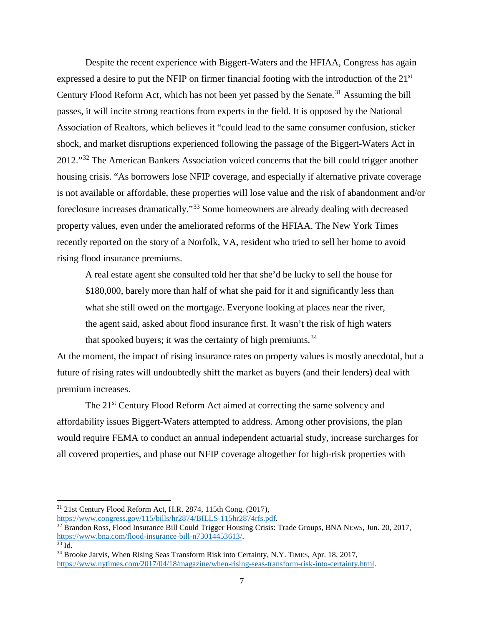Despite the recent experience with Biggert-Waters and the HFIAA, Congress has again expressed a desire to put the NFIP on firmer financial footing with the introduction of the 21<sup>st</sup> Century Flood Reform Act, which has not been yet passed by the Senate.<sup>[31](#page-6-0)</sup> Assuming the bill passes, it will incite strong reactions from experts in the field. It is opposed by the National Association of Realtors, which believes it "could lead to the same consumer confusion, sticker shock, and market disruptions experienced following the passage of the Biggert-Waters Act in 2012."<sup>[32](#page-6-1)</sup> The American Bankers Association voiced concerns that the bill could trigger another housing crisis. "As borrowers lose NFIP coverage, and especially if alternative private coverage is not available or affordable, these properties will lose value and the risk of abandonment and/or foreclosure increases dramatically."[33](#page-6-2) Some homeowners are already dealing with decreased property values, even under the ameliorated reforms of the HFIAA. The New York Times recently reported on the story of a Norfolk, VA, resident who tried to sell her home to avoid rising flood insurance premiums.

A real estate agent she consulted told her that she'd be lucky to sell the house for \$180,000, barely more than half of what she paid for it and significantly less than what she still owed on the mortgage. Everyone looking at places near the river, the agent said, asked about flood insurance first. It wasn't the risk of high waters that spooked buyers; it was the certainty of high premiums. $34$ 

At the moment, the impact of rising insurance rates on property values is mostly anecdotal, but a future of rising rates will undoubtedly shift the market as buyers (and their lenders) deal with premium increases.

The 21<sup>st</sup> Century Flood Reform Act aimed at correcting the same solvency and affordability issues Biggert-Waters attempted to address. Among other provisions, the plan would require FEMA to conduct an annual independent actuarial study, increase surcharges for all covered properties, and phase out NFIP coverage altogether for high-risk properties with

<span id="page-6-0"></span><sup>31</sup> 21st Century Flood Reform Act, H.R. 2874, 115th Cong. (2017),

[https://www.congress.gov/115/bills/hr2874/BILLS-115hr2874rfs.pdf.](https://www.congress.gov/115/bills/hr2874/BILLS-115hr2874rfs.pdf)

<span id="page-6-1"></span><sup>&</sup>lt;sup>32</sup> Brandon Ross, Flood Insurance Bill Could Trigger Housing Crisis: Trade Groups, BNA NEWS, Jun. 20, 2017, https://www.bna.com/flood-insurance-bill-n73014453613/.

<span id="page-6-3"></span><span id="page-6-2"></span>

 $\frac{33}{33}$  Id.<br><sup>34</sup> Brooke Jarvis, When Rising Seas Transform Risk into Certainty, N.Y. TIMES, Apr. 18, 2017, [https://www.nytimes.com/2017/04/18/magazine/when-rising-seas-transform-risk-into-certainty.html.](https://www.nytimes.com/2017/04/18/magazine/when-rising-seas-transform-risk-into-certainty.html)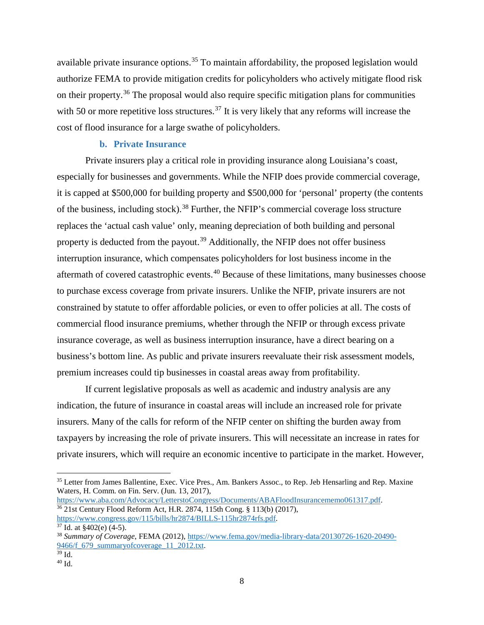available private insurance options.<sup>[35](#page-7-0)</sup> To maintain affordability, the proposed legislation would authorize FEMA to provide mitigation credits for policyholders who actively mitigate flood risk on their property.<sup>[36](#page-7-1)</sup> The proposal would also require specific mitigation plans for communities with 50 or more repetitive loss structures.<sup>[37](#page-7-2)</sup> It is very likely that any reforms will increase the cost of flood insurance for a large swathe of policyholders.

### **b. Private Insurance**

Private insurers play a critical role in providing insurance along Louisiana's coast, especially for businesses and governments. While the NFIP does provide commercial coverage, it is capped at \$500,000 for building property and \$500,000 for 'personal' property (the contents of the business, including stock).[38](#page-7-3) Further, the NFIP's commercial coverage loss structure replaces the 'actual cash value' only, meaning depreciation of both building and personal property is deducted from the payout.<sup>[39](#page-7-4)</sup> Additionally, the NFIP does not offer business interruption insurance, which compensates policyholders for lost business income in the aftermath of covered catastrophic events.<sup>[40](#page-7-5)</sup> Because of these limitations, many businesses choose to purchase excess coverage from private insurers. Unlike the NFIP, private insurers are not constrained by statute to offer affordable policies, or even to offer policies at all. The costs of commercial flood insurance premiums, whether through the NFIP or through excess private insurance coverage, as well as business interruption insurance, have a direct bearing on a business's bottom line. As public and private insurers reevaluate their risk assessment models, premium increases could tip businesses in coastal areas away from profitability.

If current legislative proposals as well as academic and industry analysis are any indication, the future of insurance in coastal areas will include an increased role for private insurers. Many of the calls for reform of the NFIP center on shifting the burden away from taxpayers by increasing the role of private insurers. This will necessitate an increase in rates for private insurers, which will require an economic incentive to participate in the market. However,

<span id="page-7-1"></span> $\frac{36}{36}$  21st Century Flood Reform Act, H.R. 2874, 115th Cong. § 113(b) (2017), https://www.congress.gov/115/bills/hr2874/BILLS-115hr2874rfs.pdf.

<span id="page-7-0"></span><sup>&</sup>lt;sup>35</sup> Letter from James Ballentine, Exec. Vice Pres., Am. Bankers Assoc., to Rep. Jeb Hensarling and Rep. Maxine Waters, H. Comm. on Fin. Serv. (Jun. 13, 2017),<br>https://www.aba.com/Advocacy/LetterstoCongress/Documents/ABAFloodInsurancememo061317.pdf.

<span id="page-7-3"></span><span id="page-7-2"></span><sup>&</sup>lt;sup>37</sup> Id. at §402(e) (4-5).<br><sup>38</sup> *Summary of Coverage*, FEMA (2012), [https://www.fema.gov/media-library-data/20130726-1620-20490-](https://www.fema.gov/media-library-data/20130726-1620-20490-9466/f_679_summaryofcoverage_11_2012.txt)  $\frac{9466}{^{39}}$  Id.<br><sup>39</sup> Id.<br><sup>40</sup> Id.

<span id="page-7-4"></span>

<span id="page-7-5"></span>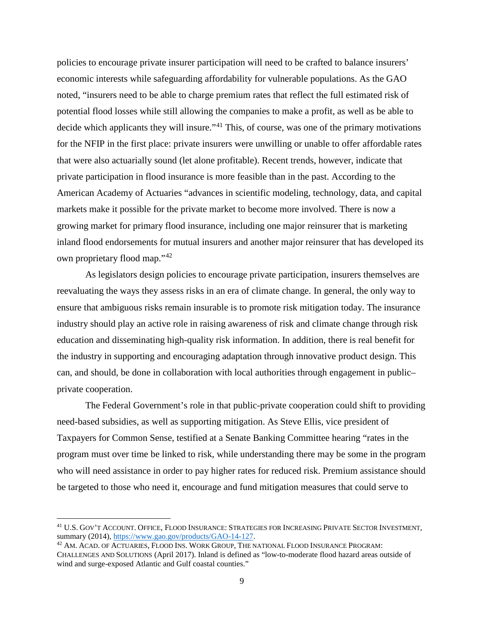policies to encourage private insurer participation will need to be crafted to balance insurers' economic interests while safeguarding affordability for vulnerable populations. As the GAO noted, "insurers need to be able to charge premium rates that reflect the full estimated risk of potential flood losses while still allowing the companies to make a profit, as well as be able to decide which applicants they will insure."<sup>[41](#page-8-0)</sup> This, of course, was one of the primary motivations for the NFIP in the first place: private insurers were unwilling or unable to offer affordable rates that were also actuarially sound (let alone profitable). Recent trends, however, indicate that private participation in flood insurance is more feasible than in the past. According to the American Academy of Actuaries "advances in scientific modeling, technology, data, and capital markets make it possible for the private market to become more involved. There is now a growing market for primary flood insurance, including one major reinsurer that is marketing inland flood endorsements for mutual insurers and another major reinsurer that has developed its own proprietary flood map."<sup>[42](#page-8-1)</sup>

As legislators design policies to encourage private participation, insurers themselves are reevaluating the ways they assess risks in an era of climate change. In general, the only way to ensure that ambiguous risks remain insurable is to promote risk mitigation today. The insurance industry should play an active role in raising awareness of risk and climate change through risk education and disseminating high-quality risk information. In addition, there is real benefit for the industry in supporting and encouraging adaptation through innovative product design. This can, and should, be done in collaboration with local authorities through engagement in public– private cooperation.

The Federal Government's role in that public-private cooperation could shift to providing need-based subsidies, as well as supporting mitigation. As Steve Ellis, vice president of Taxpayers for Common Sense, testified at a Senate Banking Committee hearing "rates in the program must over time be linked to risk, while understanding there may be some in the program who will need assistance in order to pay higher rates for reduced risk. Premium assistance should be targeted to those who need it, encourage and fund mitigation measures that could serve to

 $\overline{\phantom{a}}$ 

<span id="page-8-0"></span><sup>&</sup>lt;sup>41</sup> U.S. GOV'T ACCOUNT. OFFICE, FLOOD INSURANCE: STRATEGIES FOR INCREASING PRIVATE SECTOR INVESTMENT, summary (2014), https://www.gao.gov/products/GAO-14-127.

<span id="page-8-1"></span> $42$  AM. ACAD. OF ACTUARIES, FLOOD INS. WORK GROUP, THE NATIONAL FLOOD INSURANCE PROGRAM: CHALLENGES AND SOLUTIONS (April 2017). Inland is defined as "low-to-moderate flood hazard areas outside of wind and surge-exposed Atlantic and Gulf coastal counties."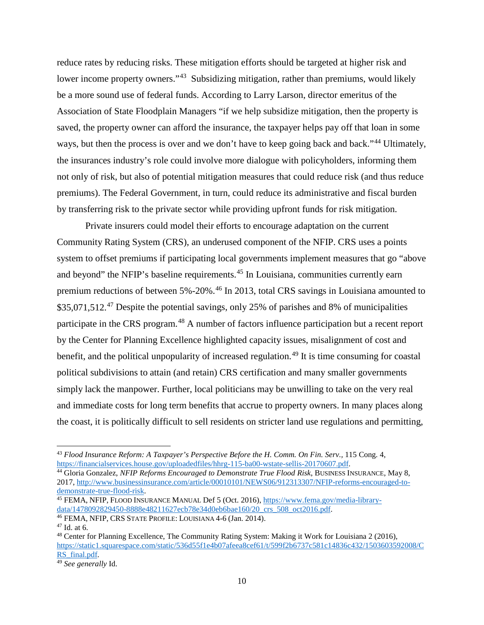reduce rates by reducing risks. These mitigation efforts should be targeted at higher risk and lower income property owners."<sup>43</sup> Subsidizing mitigation, rather than premiums, would likely be a more sound use of federal funds. According to Larry Larson, director emeritus of the Association of State Floodplain Managers "if we help subsidize mitigation, then the property is saved, the property owner can afford the insurance, the taxpayer helps pay off that loan in some ways, but then the process is over and we don't have to keep going back and back."<sup>[44](#page-9-1)</sup> Ultimately, the insurances industry's role could involve more dialogue with policyholders, informing them not only of risk, but also of potential mitigation measures that could reduce risk (and thus reduce premiums). The Federal Government, in turn, could reduce its administrative and fiscal burden by transferring risk to the private sector while providing upfront funds for risk mitigation.

Private insurers could model their efforts to encourage adaptation on the current Community Rating System (CRS), an underused component of the NFIP. CRS uses a points system to offset premiums if participating local governments implement measures that go "above and beyond" the NFIP's baseline requirements.<sup>[45](#page-9-2)</sup> In Louisiana, communities currently earn premium reductions of between 5%-20%.[46](#page-9-3) In 2013, total CRS savings in Louisiana amounted to \$35,071,512.<sup>[47](#page-9-4)</sup> Despite the potential savings, only 25% of parishes and 8% of municipalities participate in the CRS program.<sup>[48](#page-9-5)</sup> A number of factors influence participation but a recent report by the Center for Planning Excellence highlighted capacity issues, misalignment of cost and benefit, and the political unpopularity of increased regulation.<sup>[49](#page-9-6)</sup> It is time consuming for coastal political subdivisions to attain (and retain) CRS certification and many smaller governments simply lack the manpower. Further, local politicians may be unwilling to take on the very real and immediate costs for long term benefits that accrue to property owners. In many places along the coast, it is politically difficult to sell residents on stricter land use regulations and permitting,

<span id="page-9-0"></span><sup>&</sup>lt;sup>43</sup> *Flood Insurance Reform: A Taxpayer's Perspective Before the H. Comm. On Fin. Serv., 115 Cong. 4, https://financialservices.house.gov/uploadedfiles/hhrg-115-ba00-wstate-sellis-20170607.pdf.* 

<span id="page-9-1"></span><sup>&</sup>lt;sup>44</sup> Gloria Gonzalez, NFIP Reforms Encouraged to Demonstrate True Flood Risk, BUSINESS INSURANCE, May 8, 2017, http://www.businessinsurance.com/article/00010101/NEWS06/912313307/NFIP-reforms-encouraged-to-<br>demonstrate-true-flood-risk.

<span id="page-9-2"></span><sup>&</sup>lt;sup>45</sup> FEMA, NFIP, FLOOD INSURANCE MANUAL Def 5 (Oct. 2016), https://www.fema.gov/media-library-<br>data/1478092829450-8888e48211627ecb78e34d0eb6bae160/20 crs 508 oct2016.pdf.

<span id="page-9-5"></span><span id="page-9-4"></span>

<span id="page-9-3"></span><sup>&</sup>lt;sup>46</sup> FEMA, NFIP, CRS STATE PROFILE: LOUISIANA 4-6 (Jan. 2014).<br><sup>47</sup> Id. at 6.<br><sup>48</sup> Center for Planning Excellence, The Community Rating System: Making it Work for Louisiana 2 (2016), [https://static1.squarespace.com/static/536d55f1e4b07afeea8cef61/t/599f2b6737c581c14836c432/1503603592008/C](https://static1.squarespace.com/static/536d55f1e4b07afeea8cef61/t/599f2b6737c581c14836c432/1503603592008/CRS_final.pdf)<br>RS\_final.pdf.

<span id="page-9-6"></span><sup>&</sup>lt;sup>49</sup> See generally Id.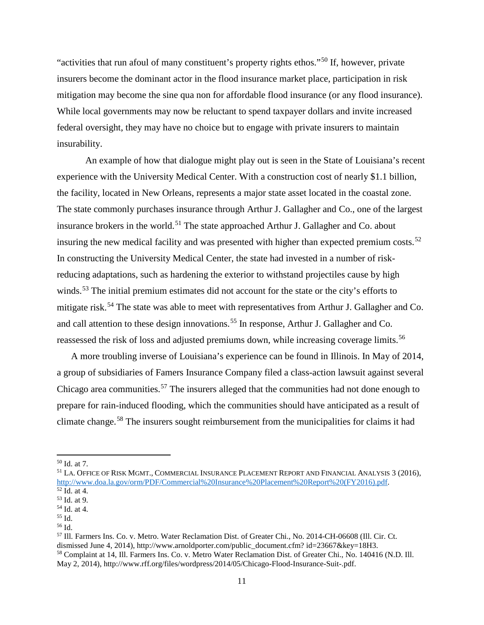"activities that run afoul of many constituent's property rights ethos."[50](#page-10-0) If, however, private insurers become the dominant actor in the flood insurance market place, participation in risk mitigation may become the sine qua non for affordable flood insurance (or any flood insurance). While local governments may now be reluctant to spend taxpayer dollars and invite increased federal oversight, they may have no choice but to engage with private insurers to maintain insurability.

An example of how that dialogue might play out is seen in the State of Louisiana's recent experience with the University Medical Center. With a construction cost of nearly \$1.1 billion, the facility, located in New Orleans, represents a major state asset located in the coastal zone. The state commonly purchases insurance through Arthur J. Gallagher and Co., one of the largest insurance brokers in the world.<sup>[51](#page-10-1)</sup> The state approached Arthur J. Gallagher and Co. about insuring the new medical facility and was presented with higher than expected premium costs.<sup>[52](#page-10-2)</sup> In constructing the University Medical Center, the state had invested in a number of riskreducing adaptations, such as hardening the exterior to withstand projectiles cause by high winds.<sup>[53](#page-10-3)</sup> The initial premium estimates did not account for the state or the city's efforts to mitigate risk.[54](#page-10-4) The state was able to meet with representatives from Arthur J. Gallagher and Co. and call attention to these design innovations.<sup>[55](#page-10-5)</sup> In response, Arthur J. Gallagher and Co. reassessed the risk of loss and adjusted premiums down, while increasing coverage limits.<sup>[56](#page-10-6)</sup>

A more troubling inverse of Louisiana's experience can be found in Illinois. In May of 2014, a group of subsidiaries of Famers Insurance Company filed a class-action lawsuit against several Chicago area communities.<sup>[57](#page-10-7)</sup> The insurers alleged that the communities had not done enough to prepare for rain-induced flooding, which the communities should have anticipated as a result of climate change.[58](#page-10-8) The insurers sought reimbursement from the municipalities for claims it had

 $\overline{a}$ 

<span id="page-10-1"></span><span id="page-10-0"></span><sup>&</sup>lt;sup>50</sup> Id. at 7.<br><sup>51</sup> LA. Office of Risk Mgmt., Commercial Insurance Placement Report and Financial Analysis 3 (2016), http://www.doa.la.gov/orm/PDF/Commercial%20Insurance%20Placement%20Report%20(FY2016).pdf.<br><sup>52</sup> Id. at 4.<br><sup>53</sup> Id. at 9.<br><sup>54</sup> Id. at 4. <sup>55</sup> Id.

<span id="page-10-3"></span><span id="page-10-2"></span>

<span id="page-10-4"></span>

<span id="page-10-5"></span>

<span id="page-10-6"></span>

<span id="page-10-8"></span><span id="page-10-7"></span><sup>56</sup> Id. 57 Ill. Farmers Ins. Co. v. Metro. Water Reclamation Dist. of Greater Chi., No. 2014-CH-06608 (Ill. Cir. Ct. dismissed June 4, 2014), http://www.arnoldporter.com/public\_document.cfm? id=23667&key=18H3. <sup>58</sup> Complaint at 14, Ill. Farmers Ins. Co. v. Metro Water Reclamation Dist. of Greater Chi., No. 140416 (N.D. Ill. May 2, 2014), http://www.rff.org/files/wordpress/2014/05/Chicago-Flood-Insurance-Suit-.pdf.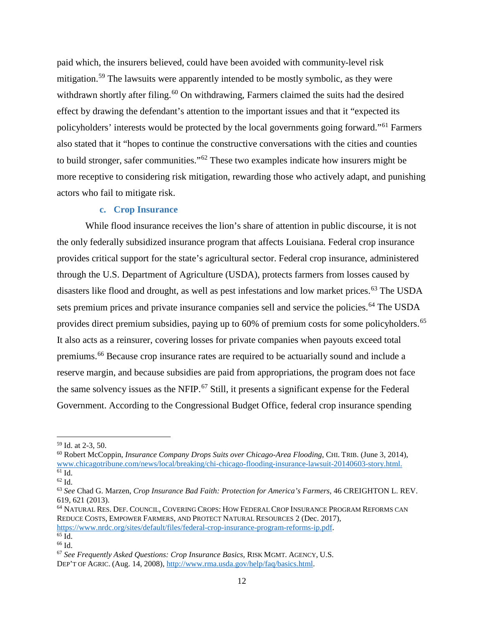paid which, the insurers believed, could have been avoided with community-level risk mitigation.<sup>[59](#page-11-0)</sup> The lawsuits were apparently intended to be mostly symbolic, as they were withdrawn shortly after filing.<sup>[60](#page-11-1)</sup> On withdrawing, Farmers claimed the suits had the desired effect by drawing the defendant's attention to the important issues and that it "expected its policyholders' interests would be protected by the local governments going forward."[61](#page-11-2) Farmers also stated that it "hopes to continue the constructive conversations with the cities and counties to build stronger, safer communities."<sup>[62](#page-11-3)</sup> These two examples indicate how insurers might be more receptive to considering risk mitigation, rewarding those who actively adapt, and punishing actors who fail to mitigate risk.

## **c. Crop Insurance**

While flood insurance receives the lion's share of attention in public discourse, it is not the only federally subsidized insurance program that affects Louisiana. Federal crop insurance provides critical support for the state's agricultural sector. Federal crop insurance, administered through the U.S. Department of Agriculture (USDA), protects farmers from losses caused by disasters like flood and drought, as well as pest infestations and low market prices.<sup>[63](#page-11-4)</sup> The USDA sets premium prices and private insurance companies sell and service the policies.<sup>[64](#page-11-5)</sup> The USDA provides direct premium subsidies, paying up to 60% of premium costs for some policyholders.<sup>[65](#page-11-6)</sup> It also acts as a reinsurer, covering losses for private companies when payouts exceed total premiums.[66](#page-11-7) Because crop insurance rates are required to be actuarially sound and include a reserve margin, and because subsidies are paid from appropriations, the program does not face the same solvency issues as the NFIP.<sup>[67](#page-11-8)</sup> Still, it presents a significant expense for the Federal Government. According to the Congressional Budget Office, federal crop insurance spending

<span id="page-11-1"></span><span id="page-11-0"></span><sup>&</sup>lt;sup>59</sup> Id. at 2-3, 50.<br><sup>60</sup> Robert McCoppin, *Insurance Company Drops Suits over Chicago-Area Flooding*, CHI. TRIB. (June 3, 2014), [www.chicagotribune.com/news/local/breaking/chi-chicago-flooding-insurance-lawsuit-20140603-story.html.](http://www.chicagotribune.com/news/local/breaking/chi-chicago-flooding-insurance-lawsuit-20140603-story.html)

<span id="page-11-4"></span><span id="page-11-3"></span><span id="page-11-2"></span><sup>61</sup> Id. 62 Id. 63 *See* Chad G. Marzen, *Crop Insurance Bad Faith: Protection for America's Farmers,* 46 CREIGHTON L. REV. 619, 621 (2013).

<span id="page-11-5"></span><sup>64</sup> NATURAL RES. DEF. COUNCIL, COVERING CROPS: HOW FEDERAL CROP INSURANCE PROGRAM REFORMS CAN REDUCE COSTS, EMPOWER FARMERS, AND PROTECT NATURAL RESOURCES 2 (Dec. 2017), https://www.nrdc.org/sites/default/files/federal-crop-insurance-program-reforms-ip.pdf.<br>
<sup>65</sup> Id. 66 Id. 67 *See Frequently Asked Questions: Crop Insurance Basics*, RISK MGMT. AGENCY, U.S.

<span id="page-11-7"></span><span id="page-11-6"></span>

<span id="page-11-8"></span>DEP'T OF AGRIC. (Aug. 14, 2008)[, http://www.rma.usda.gov/help/faq/basics.html.](http://www.rma.usda.gov/help/faq/basics.html)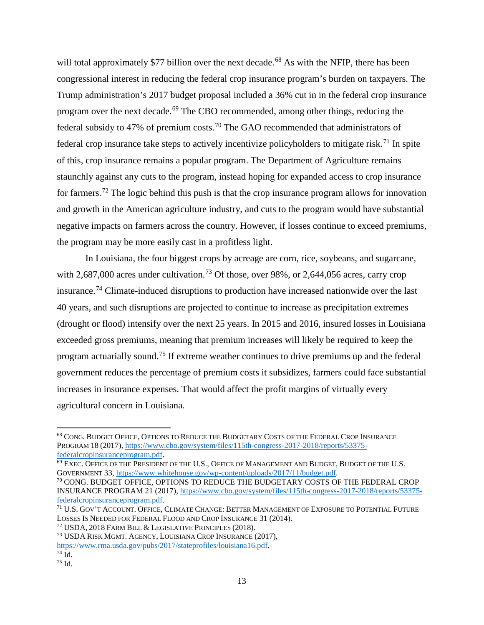will total approximately \$77 billion over the next decade.<sup>[68](#page-12-0)</sup> As with the NFIP, there has been congressional interest in reducing the federal crop insurance program's burden on taxpayers. The Trump administration's 2017 budget proposal included a 36% cut in in the federal crop insurance program over the next decade.<sup>[69](#page-12-1)</sup> The CBO recommended, among other things, reducing the federal subsidy to 47% of premium costs.<sup>[70](#page-12-2)</sup> The GAO recommended that administrators of federal crop insurance take steps to actively incentivize policyholders to mitigate risk.<sup>[71](#page-12-3)</sup> In spite of this, crop insurance remains a popular program. The Department of Agriculture remains staunchly against any cuts to the program, instead hoping for expanded access to crop insurance for farmers.[72](#page-12-4) The logic behind this push is that the crop insurance program allows for innovation and growth in the American agriculture industry, and cuts to the program would have substantial negative impacts on farmers across the country. However, if losses continue to exceed premiums, the program may be more easily cast in a profitless light.

In Louisiana, the four biggest crops by acreage are corn, rice, soybeans, and sugarcane, with 2,687,000 acres under cultivation.<sup>[73](#page-12-5)</sup> Of those, over 98%, or 2,644,056 acres, carry crop insurance.[74](#page-12-6) Climate-induced disruptions to production have increased nationwide over the last 40 years, and such disruptions are projected to continue to increase as precipitation extremes (drought or flood) intensify over the next 25 years. In 2015 and 2016, insured losses in Louisiana exceeded gross premiums, meaning that premium increases will likely be required to keep the program actuarially sound.[75](#page-12-7) If extreme weather continues to drive premiums up and the federal government reduces the percentage of premium costs it subsidizes, farmers could face substantial increases in insurance expenses. That would affect the profit margins of virtually every agricultural concern in Louisiana.

<span id="page-12-7"></span><span id="page-12-6"></span>

<span id="page-12-0"></span>l <sup>68</sup> CONG. BUDGET OFFICE, OPTIONS TO REDUCE THE BUDGETARY COSTS OF THE FEDERAL CROP INSURANCE PROGRAM 18 (2017), [https://www.cbo.gov/system/files/115th-congress-2017-2018/reports/53375-](https://www.cbo.gov/system/files/115th-congress-2017-2018/reports/53375-federalcropinsuranceprogram.pdf)

<span id="page-12-1"></span>[federalcropinsuranceprogram.pdf.](https://www.cbo.gov/system/files/115th-congress-2017-2018/reports/53375-federalcropinsuranceprogram.pdf)<br><sup>69</sup> EXEC. OFFICE OF THE PRESIDENT OF THE U.S., OFFICE OF MANAGEMENT AND BUDGET, BUDGET OF THE U.S.<br>GOVERNMENT 33, https://www.whitehouse.gov/wp-content/uploads/2017/11/budget.pdf.

<span id="page-12-2"></span> $^{70}$  CONG. BUDGET OFFICE, OPTIONS TO REDUCE THE BUDGETARY COSTS OF THE FEDERAL CROP INSURANCE PROGRAM 21 (2017), [https://www.cbo.gov/system/files/115th-congress-2017-2018/reports/53375](https://www.cbo.gov/system/files/115th-congress-2017-2018/reports/53375-federalcropinsuranceprogram.pdf) [federalcropinsuranceprogram.pdf.](https://www.cbo.gov/system/files/115th-congress-2017-2018/reports/53375-federalcropinsuranceprogram.pdf)

<span id="page-12-3"></span> $\frac{71}{71}$  U.S. Gov't Account. Office, Climate Change: Better Management of Exposure to Potential Future Losses Is Needed for Federal Flood and Crop Insurance 31 (2014).

<span id="page-12-4"></span><sup>&</sup>lt;sup>72</sup> USDA, 2018 FARM BILL & LEGISLATIVE PRINCIPLES (2018).<br><sup>73</sup> USDA RISK MGMT. AGENCY, LOUISIANA CROP INSURANCE (2017),

<span id="page-12-5"></span>

[https://www.rma.usda.gov/pubs/2017/stateprofiles/louisiana16.pdf.](https://www.rma.usda.gov/pubs/2017/stateprofiles/louisiana16.pdf)<br><sup>74</sup> Id. <sup>75</sup> Id.